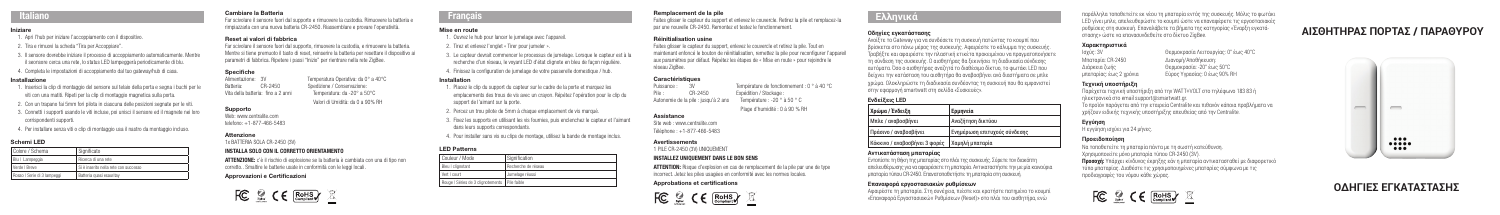- 
- 2. Tira e rimuovi la scheda "Tira per Accoppiare".
- 3. Il sensore dovrebbe iniziare il processo di accoppiamento automaticamente. Mentre il seonsore cerca una rete, lo status LED lampeggerà periodicamente di blu.
- 4. Completa le impostazioni di accoppiamento dal tuo gateway/hub di casa.

#### Installazione

- 1. Inserisci la clip di montaggio del sensore sul telaio della porta e segna i buchi per le viti con una matiti. Ripeti per la clip di montaggio magnetica sulla porta.
- 2. Con un trapano fai 5mm fori pilota in ciascuna delle posizioni segnate per le viti.
- 3. Connetti i supporti usando le viti incluse, poi unisci il sensore ed il magnete nei loro corrispondenti supporti.
- 4. Per installare senza viti o clip di montaggio usa il nastro da montaggio incluso.

#### Schemi LED

ATTENZIONE: c'è il rischio di esplosione se la batteria è cambiata con una di tipo non corretto.. Smaltire le batterie usate in conformità con le leggi locali.

| Colore / Schema             | I Significato                         |
|-----------------------------|---------------------------------------|
| Blu   Lampeggia             | Ricerca di una rete                   |
| Verde   Breve               | Si è inserito nella rete con successo |
| Rosso   Serie di 3 lampeggi | Batteria quasi esauritav              |

## Cambiare la Batteria

Far scivolare il sensore fuori dal supporto e rimuovere la custodia. Rimuovere la batteria e rimpiazzarla con una nuova batteria CR-2450. Riassemblare e provare l'operatività.

#### Reset ai valori di fabbrica

Far scivolare il sensore fuori dal supporto, rimuovere la custodia, e rimuovere la batteria. Mentre si tiene premuoto il tasto di reset, reinserire la batteria per resettare il dispositivo ai parametri di fabbrica. Ripetere i passi "Inizio" per rientrare nella rete ZigBee.

Temperatura Operativa: da 0° a 40°C

Valori di Umidità: da 0 a 90% RH

# **Specifiche**<br>Alimentazione: 3V

Batteria: CR-2450 Spedizione / Conservazione:<br>
Vita della batteria: fino a 2 anni Temperatura: da -20° a 50°C Vita della batteria: fino a 2 anni

#### Supporto

Web: www.centralite.com telefono: +1-877-466-5483

#### **Attenzione**

1x BATTERIA SOLA CR-2450 (3V)

#### INSTALLA SOLO CON IL CORRETTO ORIENTAMENTO

Puissance : 3V Température de fonctionnement : 0 ° à 40 °C<br>
Pile : CR-2450 Fxpédition / Stockage : **Expédition / Stockage :** Autonomie de la pile : jusqu'à 2 ans Température : -20 ° à 50 ° C

#### Approvazioni e Certificazioni



## Italiano

#### Mise en route

- 1. Ouvrez le hub pour lancer le jumelage avec l'appareil.
- 2. Tirez et enlevez l'onglet « Tirer pour jumeler ».
- 3. Le capteur devrait commencer le processus de jumelage. Lorsque le capteur est à la recherche d'un réseau, le voyant LED d'état clignote en bleu de façon régulière.
- 4. Finissez la configuration de jumelage de votre passerelle domestique / hub.

#### Installation

- 1. Placez le clip du support du capteur sur le cadre de la porte et marquez les emplacements des trous de vis avec un crayon. Répétez l'opération pour le clip du support de l'aimant sur la porte.
- 2. Percez un trou pilote de 5mm à chaque emplacement de vis marqué.
- 3. Fixez les supports en utilisant les vis fournies, puis enclenchez le capteur et l'aimant dans leurs supports correspondants.
- 4. Pour installer sans vis ou clips de montage, utilisez la bande de montage inclus.

Iniziare **ΑΙΣΘΗΤΗΡΑΣ ΠΟΡΤΑΣ / ΠΑΡΑΘΥΡΟΥ** 1. Apri l'hub per iniziare l'accoppiamento con il dispositivo. παράλληλα τοποθετείτε εκ νέου τη μπαταρία εντός της συσκευής. Μόλις το φωτάκι LED γίνει μπλε, απελευθερώστε το κουμπί ώστε να επαναφέρετε τις εργοστασιακές ρυθμίσεις στη συσκευή. Επαναλάβετε τα βήματα της κατηγορίας «Έναρξη εγκατάστασης» ώστε να επανασυνδεθείτε στο δίκτυο ZigBee.

> Θερμοκρασία Λειτουργίας: 0° έως 40°C<br>Λιανουή/Αποθήκευση: Διάρκεια ζωής Θερμοκρασία: -20° έως 50°C μπαταρίας: έως 2 χρόνια Εύρος Υγρασίας: 0 έως 90% RH

#### LED Patterns

| Couleur / Mode                                  | Signification       |
|-------------------------------------------------|---------------------|
| Bleu I clignotant                               | Recherche de réseau |
| Vert   court                                    | Jumelage réussi     |
| Rouge   Séries de 3 clignotements   Pile faible |                     |

#### Remplacement de la pile

Faites glisser le capteur du support et enlevez le couvercle. Retirez la pile et remplacez-la par une nouvelle CR-2450. Remontez et testez le fonctionnement.

#### Réinitialisation usine

Faites glisser le capteur du support, enlevez le couvercle et retirez la pile. Tout en maintenant enfoncé le bouton de réinitialisation, remettez la pile pour reconfigurer l'appareil aux paramètres par défaut. Répétez les étapes de « Mise en route » pour rejoindre le réseau ZigBee.

#### **Caractéristiques**

Plage d'humidité : 0 à 90 % RH

#### Assistance

Site web : www.centralite.com Téléphone : +1-877-466-5483

#### Avertissements

1 PILE CR-2450 (3V) UNIQUEMENT

## INSTALLEZ UNIQUEMENT DANS LE BON SENS

ATTENTION: Risque d'explosion en cas de remplacement de la pile par une de type incorrect. Jetez les piles usagées en conformité avec les normes locales.

#### Approbations et certifications



# Français

Ανοίξτε το Gateway για να συνδέσετε τη συσκευή πατώντας το κουμπί που βρίσκεται στο πάνω μέρος της συσκευής. Αφαιρέστε το κάλυμμα της συσκευής. Τραβήξτε και αφαιρέστε την πλαστική ετικέτα προκειμένου να πραγματοποιήσετ τη σύνδεση της συσκευής. Ο αισθητήρας θα ξεκινήσει τη διαδικασία σύνδεσης αυτόματα. Όσο ο αισθητήρας αναζητά το διαθέσιμο δίκτυο, το φωτάκι LED που δείχνει την κατάσταση του αισθητήρα θα αναβοσβήνει ανά διαστήματα σε μπλε χρώμα. Ολοκληρώστε τη διαδικασία συνδέοντας τη συσκευή που θα εμφανιστεί στην εφαρμογή smartwatt στη σελίδα «Συσκευές».

## **Ενδείξεις LED**

*Χρώμα /* 

Κόκκινο /

| Χρώμα / Ένδειξη               | <b>Ερμηνεία</b>              |
|-------------------------------|------------------------------|
| Μπλε / αναβοσβήνει            | Αναζήτηση δικτύου            |
| Πράσινο / αναβοσβήνει         | Ενημέρωση επιτυχούς σύνδεσης |
| Κόκκινο / αναβοσβήνει 3 φορές | Χαμηλή μπαταρία              |

#### **Αντικατάσταση μπαταρίας**

Εντοπίστε τη θήκη της μπαταρίας στο πλάι της συσκευής. Σύρετε τον διακόπτη απελευθέρωσης για να αφαιρέσετε τη μπαταρία. Aντικαταστήστε την με μία καινούρια μπαταρία τύπου CR-2450. Επανατοποθετήστε τη μπαταρία στη συσκευή.

#### **Επαναφορά εργοστασιακών ρυθμίσεων**

Αφαιρέστε τη μπαταρία. Στη συνέχεια, πιέστε και κρατήστε πατημένο το κουμπί «Επαναφορά Εργοστασιακών Ρυθμίσεων (Reset)» στο πλάι του αισθητήρα, ενώ

# **Οδηγίες εγκατάστασης Ελληνικά**

# **Χαρακτηριστικά**

Μπαταρία: CR-2450<br>Διάρκεια ζωής

#### **Τεχνική υποστήριξη**

Παρέχεται τεχνική υποστήριξη από την WATT+VOLT στο τηλέφωνο 183 83 ή ηλεκτρονικά στο email support@smartwatt.gr.

Το προϊόν παράγεται από την εταιρεία Centralite και πιθανόν κάποια προβλήματα να χρήζουν ειδικής τεχνικής υποστήριξης απευθείας από την Centralite.

**Εγγύηση** Η εγγύηση ισχύει για 24 μήνες.

#### **Προειδοποίηση**

Να τοποθετείτε τη μπαταρία πάντα με τη σωστή κατεύθυνση. Χρησιμοποιείτε μόνο μπαταρία τύπου CR-2450 (3V). **Προσοχή:** Υπάρχει κίνδυνος έκρηξης εάν η μπαταρία αντικατασταθεί με διαφορετικό τύπο μπαταρίας. Διαθέστε τις χρησιμοποιημένες μπαταρίες σύμφωνα με τις προδιαγραφές του νόμου κάθε χώρας.





# **ΟΔΗΓΙΕΣ ΕΓΚΑΤΑΣΤΑΣΗΣ**